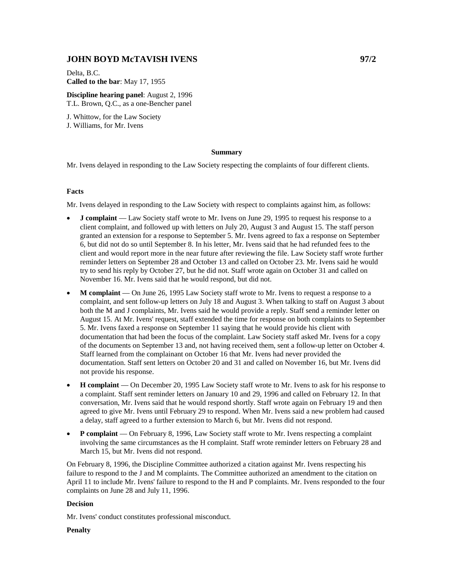# **JOHN BOYD McTAVISH IVENS 97/2**

Delta, B.C. **Called to the bar**: May 17, 1955

**Discipline hearing panel**: August 2, 1996 T.L. Brown, Q.C., as a one-Bencher panel

J. Whittow, for the Law Society J. Williams, for Mr. Ivens

#### **Summary**

Mr. Ivens delayed in responding to the Law Society respecting the complaints of four different clients.

## **Facts**

Mr. Ivens delayed in responding to the Law Society with respect to complaints against him, as follows:

- **J complaint** Law Society staff wrote to Mr. Ivens on June 29, 1995 to request his response to a client complaint, and followed up with letters on July 20, August 3 and August 15. The staff person granted an extension for a response to September 5. Mr. Ivens agreed to fax a response on September 6, but did not do so until September 8. In his letter, Mr. Ivens said that he had refunded fees to the client and would report more in the near future after reviewing the file. Law Society staff wrote further reminder letters on September 28 and October 13 and called on October 23. Mr. Ivens said he would try to send his reply by October 27, but he did not. Staff wrote again on October 31 and called on November 16. Mr. Ivens said that he would respond, but did not.
- **M complaint** On June 26, 1995 Law Society staff wrote to Mr. Ivens to request a response to a complaint, and sent follow-up letters on July 18 and August 3. When talking to staff on August 3 about both the M and J complaints, Mr. Ivens said he would provide a reply. Staff send a reminder letter on August 15. At Mr. Ivens' request, staff extended the time for response on both complaints to September 5. Mr. Ivens faxed a response on September 11 saying that he would provide his client with documentation that had been the focus of the complaint. Law Society staff asked Mr. Ivens for a copy of the documents on September 13 and, not having received them, sent a follow-up letter on October 4. Staff learned from the complainant on October 16 that Mr. Ivens had never provided the documentation. Staff sent letters on October 20 and 31 and called on November 16, but Mr. Ivens did not provide his response.
- **H complaint**  On December 20, 1995 Law Society staff wrote to Mr. Ivens to ask for his response to a complaint. Staff sent reminder letters on January 10 and 29, 1996 and called on February 12. In that conversation, Mr. Ivens said that he would respond shortly. Staff wrote again on February 19 and then agreed to give Mr. Ivens until February 29 to respond. When Mr. Ivens said a new problem had caused a delay, staff agreed to a further extension to March 6, but Mr. Ivens did not respond.
- **P complaint** On February 8, 1996, Law Society staff wrote to Mr. Ivens respecting a complaint involving the same circumstances as the H complaint. Staff wrote reminder letters on February 28 and March 15, but Mr. Ivens did not respond.

On February 8, 1996, the Discipline Committee authorized a citation against Mr. Ivens respecting his failure to respond to the J and M complaints. The Committee authorized an amendment to the citation on April 11 to include Mr. Ivens' failure to respond to the H and P complaints. Mr. Ivens responded to the four complaints on June 28 and July 11, 1996.

### **Decision**

Mr. Ivens' conduct constitutes professional misconduct.

## **Penalty**